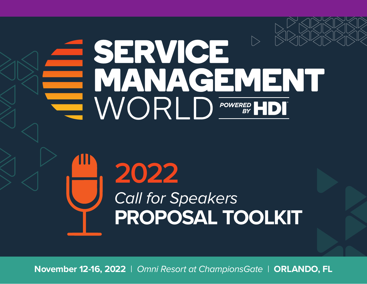

**November 12-16, 2022** | *Omni Resort at ChampionsGate* | **ORLANDO, FL**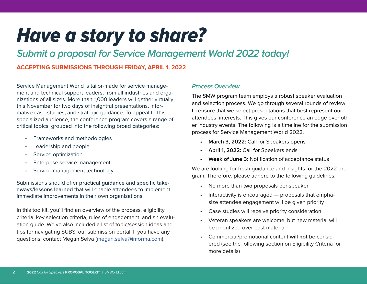# *Have a story to share?*

# *Submit a proposal for Service Management World 2022 today!*

# **ACCEPTING SUBMISSIONS THROUGH FRIDAY, APRIL 1, 2022**

Service Management World is tailor-made for service management and technical support leaders, from all industries and organizations of all sizes. More than 1,000 leaders will gather virtually this November for two days of insightful presentations, informative case studies, and strategic guidance. To appeal to this specialized audience, the conference program covers a range of critical topics, grouped into the following broad categories:

- Frameworks and methodologies
- Leadership and people
- Service optimization
- Enterprise service management
- Service management technology

Submissions should offer **practical guidance** and **specific takeaways/lessons learned** that will enable attendees to implement immediate improvements in their own organizations.

In this toolkit, you'll find an overview of the process, eligibility criteria, key selection criteria, rules of engagement, and an evaluation guide. We've also included a list of topic/session ideas and tips for navigating SUBS, our submission portal. If you have any questions, contact Megan Selva (megan.selva@informa.com).

# *Process Overview*

The SMW program team employs a robust speaker evaluation and selection process. We go through several rounds of review to ensure that we select presentations that best represent our attendees' interests. This gives our conference an edge over other industry events. The following is a timeline for the submission process for Service Management World 2022.

- **• March 3, 2022:** Call for Speakers opens
- **• April 1, 2022:** Call for Speakers ends
- **• Week of June 3:** Notification of acceptance status

We are looking for fresh guidance and insights for the 2022 program. Therefore, please adhere to the following guidelines:

- No more than **two** proposals per speaker
- Interactivity is encouraged proposals that emphasize attendee engagement will be given priority
- Case studies will receive priority consideration
- Veteran speakers are welcome, but new material will be prioritized over past material
- Commercial/promotional content **will not** be considered (see the following section on Eligibility Criteria for more details)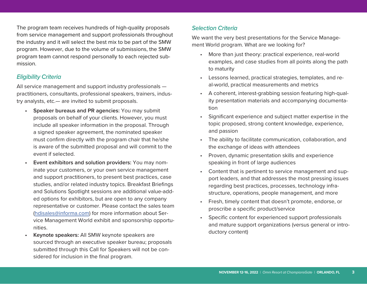The program team receives hundreds of high-quality proposals from service management and support professionals throughout the industry and it will select the best mix to be part of the SMW program. However, due to the volume of submissions, the SMW program team cannot respond personally to each rejected submission.

#### *Eligibility Criteria*

All service management and support industry professionals practitioners, consultants, professional speakers, trainers, industry analysts, etc.— are invited to submit proposals.

- **• Speaker bureaus and PR agencies:** You may submit proposals on behalf of your clients. However, you must include all speaker information in the proposal. Through a signed speaker agreement, the nominated speaker must confirm directly with the program chair that he/she is aware of the submitted proposal and will commit to the event if selected.
- **• Event exhibitors and solution providers:** You may nominate your customers, or your own service management and support practitioners, to present best practices, case studies, and/or related industry topics. Breakfast Briefings and Solutions Spotlight sessions are additional value-added options for exhibitors, but are open to any company representative or customer. Please contact the sales team (hdisales@informa.com) for more information about Service Management World exhibit and sponsorship opportunities.
- **• Keynote speakers:** All SMW keynote speakers are sourced through an executive speaker bureau; proposals submitted through this Call for Speakers will not be considered for inclusion in the final program.

# *Selection Criteria*

We want the very best presentations for the Service Management World program. What are we looking for?

- More than just theory: practical experience, real-world examples, and case studies from all points along the path to maturity
- Lessons learned, practical strategies, templates, and real-world, practical measurements and metrics
- A coherent, interest-grabbing session featuring high-quality presentation materials and accompanying documentation
- Significant experience and subject matter expertise in the topic proposed, strong content knowledge, experience, and passion
- The ability to facilitate communication, collaboration, and the exchange of ideas with attendees
- Proven, dynamic presentation skills and experience speaking in front of large audiences
- Content that is pertinent to service management and support leaders, and that addresses the most pressing issues regarding best practices, processes, technology infrastructure, operations, people management, and more
- Fresh, timely content that doesn't promote, endorse, or proscribe a specific product/service
- Specific content for experienced support professionals and mature support organizations (versus general or introductory content)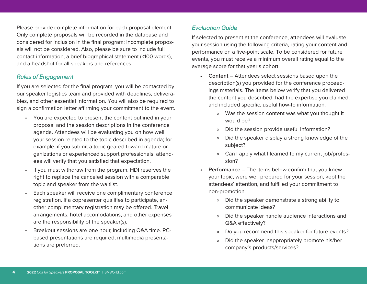Please provide complete information for each proposal element. Only complete proposals will be recorded in the database and considered for inclusion in the final program; incomplete proposals will not be considered. Also, please be sure to include full contact information, a brief biographical statement (<100 words), and a headshot for all speakers and references.

#### *Rules of Engagement*

If you are selected for the final program, you will be contacted by our speaker logistics team and provided with deadlines, deliverables, and other essential information. You will also be required to sign a confirmation letter affirming your commitment to the event.

- You are expected to present the content outlined in your proposal and the session descriptions in the conference agenda. Attendees will be evaluating you on how well your session related to the topic described in agenda; for example, if you submit a topic geared toward mature organizations or experienced support professionals, attendees will verify that you satisfied that expectation.
- If you must withdraw from the program, HDI reserves the right to replace the canceled session with a comparable topic and speaker from the waitlist.
- Each speaker will receive one complimentary conference registration. If a copresenter qualifies to participate, another complimentary registration may be offered. Travel arrangements, hotel accomodations, and other expenses are the responsibility of the speaker(s).
- Breakout sessions are one hour, including Q&A time. PCbased presentations are required; multimedia presentations are preferred.

# *Evaluation Guide*

If selected to present at the conference, attendees will evaluate your session using the following criteria, rating your content and performance on a five-point scale. To be considered for future events, you must receive a minimum overall rating equal to the average score for that year's cohort.

- **• Content** Attendees select sessions based upon the description(s) you provided for the conference proceedings materials. The items below verify that you delivered the content you described, had the expertise you claimed, and included specific, useful how-to information.
	- » Was the session content was what you thought it would be?
	- » Did the session provide useful information?
	- » Did the speaker display a strong knowledge of the subject?
	- » Can I apply what I learned to my current job/profession?
- **• Performance** The items below confirm that you knew your topic, were well prepared for your session, kept the attendees' attention, and fulfilled your commitment to non-promotion.
	- » Did the speaker demonstrate a strong ability to communicate ideas?
	- » Did the speaker handle audience interactions and Q&A effectively?
	- » Do you recommend this speaker for future events?
	- » Did the speaker inappropriately promote his/her company's products/services?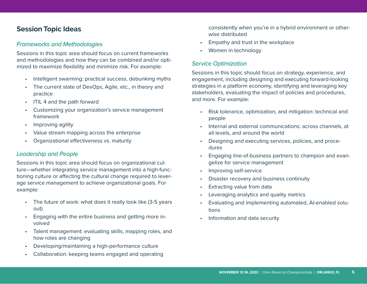# **Session Topic Ideas**

## *Frameworks and Methodologies*

Sessions in this topic area should focus on current frameworks and methodologies and how they can be combined and/or optimized to maximize flexibility and minimize risk. For example:

- Intelligent swarming: practical success, debunking myths
- The current state of DevOps, Agile, etc., in theory and practice
- ITIL 4 and the path forward
- Customizing your organization's service management framework
- Improving agility
- Value stream mapping across the enterprise
- Organizational effectiveness vs. maturity

# *Leadership and People*

Sessions in this topic area should focus on organizational culture—whether integrating service management into a high-functioning culture or affecting the cultural change required to leverage service management to achieve organizational goals. For example:

- The future of work: what does it really look like (3-5 years out)
- Engaging with the entire business and getting more involved
- Talent management: evaluating skills, mapping roles, and how roles are changing
- Developing/maintaining a high-performance culture
- Collaboration: keeping teams engaged and operating

consistently when you're in a hybrid environment or otherwise distributed

- Empathy and trust in the workplace
- Women in technology

# *Service Optimization*

Sessions in this topic should focus on strategy, experience, and engagement, including designing and executing forward-looking strategies in a platform economy, identifying and leveraging key stakeholders, evaluating the impact of policies and procedures, and more. For example:

- Risk tolerance, optimization, and mitigation: technical and people
- Internal and external communications: across channels, at all levels, and around the world
- Designing and executing services, policies, and procedures
- Engaging line-of-business partners to champion and evangelize for service management
- Improving self-service
- Disaster recovery and business continuity
- Extracting value from data
- Leveraging analytics and quality metrics
- Evaluating and implementing automated, AI-enabled solutions
- Information and data security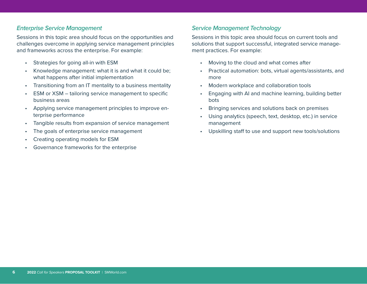### *Enterprise Service Management*

Sessions in this topic area should focus on the opportunities and challenges overcome in applying service management principles and frameworks across the enterprise. For example:

- Strategies for going all-in with ESM
- Knowledge management: what it is and what it could be; what happens after initial implementation
- Transitioning from an IT mentality to a business mentality
- ESM or XSM tailoring service management to specific business areas
- Applying service management principles to improve enterprise performance
- Tangible results from expansion of service management
- The goals of enterprise service management
- Creating operating models for ESM
- Governance frameworks for the enterprise

# *Service Management Technology*

Sessions in this topic area should focus on current tools and solutions that support successful, integrated service management practices. For example:

- Moving to the cloud and what comes after
- Practical automation: bots, virtual agents/assistants, and more
- Modern workplace and collaboration tools
- Engaging with AI and machine learning, building better bots
- Bringing services and solutions back on premises
- Using analytics (speech, text, desktop, etc.) in service management
- Upskilling staff to use and support new tools/solutions